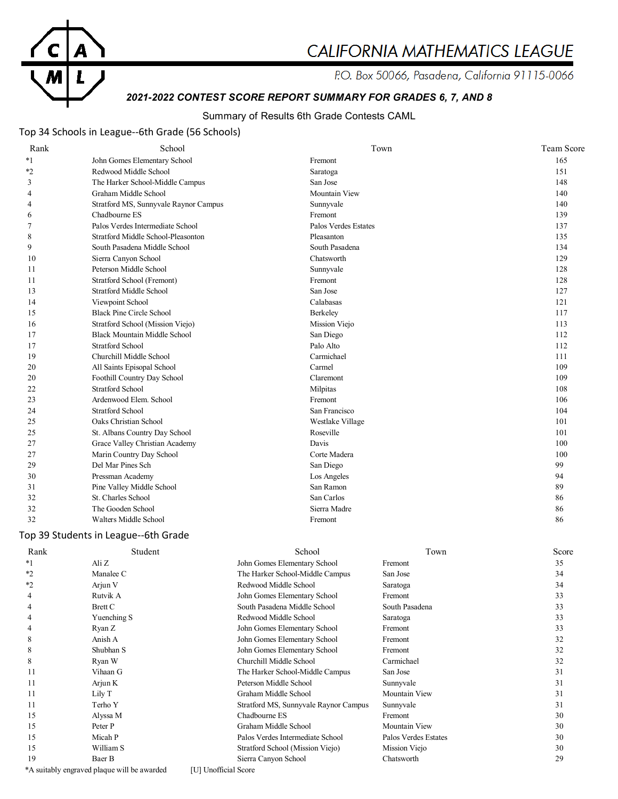

# CALIFORNIA MATHEMATICS LEAGUE

P.O. Box 50066, Pasadena, California 91115-0066

# *2021-2022 CONTEST SCORE REPORT SUMMARY FOR GRADES 6, 7, AND 8*

### Summary of Results 6th Grade Contests CAML

### Top 34 Schools in League--6th Grade (56 Schools)

| Rank           | School                                | Town                 | <b>Team Score</b> |
|----------------|---------------------------------------|----------------------|-------------------|
| $*_{1}$        | John Gomes Elementary School          | Fremont              | 165               |
| $*_{2}$        | Redwood Middle School                 | Saratoga             | 151               |
| 3              | The Harker School-Middle Campus       | San Jose             | 148               |
| 4              | Graham Middle School                  | <b>Mountain View</b> | 140               |
| 4              | Stratford MS, Sunnyvale Raynor Campus | Sunnyvale            | 140               |
| 6              | Chadbourne ES                         | Fremont              | 139               |
| $\overline{7}$ | Palos Verdes Intermediate School      | Palos Verdes Estates | 137               |
| 8              | Stratford Middle School-Pleasonton    | Pleasanton           | 135               |
| 9              | South Pasadena Middle School          | South Pasadena       | 134               |
| 10             | Sierra Canyon School                  | Chatsworth           | 129               |
| 11             | Peterson Middle School                | Sunnyvale            | 128               |
| 11             | Stratford School (Fremont)            | Fremont              | 128               |
| 13             | <b>Stratford Middle School</b>        | San Jose             | 127               |
| 14             | Viewpoint School                      | Calabasas            | 121               |
| 15             | <b>Black Pine Circle School</b>       | Berkeley             | 117               |
| 16             | Stratford School (Mission Viejo)      | Mission Viejo        | 113               |
| 17             | <b>Black Mountain Middle School</b>   | San Diego            | 112               |
| 17             | <b>Stratford School</b>               | Palo Alto            | 112               |
| 19             | Churchill Middle School               | Carmichael           | 111               |
| 20             | All Saints Episopal School            | Carmel               | 109               |
| 20             | Foothill Country Day School           | Claremont            | 109               |
| 22             | <b>Stratford School</b>               | Milpitas             | 108               |
| 23             | Ardenwood Elem. School                | Fremont              | 106               |
| 24             | Stratford School                      | San Francisco        | 104               |
| 25             | Oaks Christian School                 | Westlake Village     | 101               |
| 25             | St. Albans Country Day School         | Roseville            | 101               |
| 27             | Grace Valley Christian Academy        | Davis                | 100               |
| 27             | Marin Country Day School              | Corte Madera         | 100               |
| 29             | Del Mar Pines Sch                     | San Diego            | 99                |
| 30             | Pressman Academy                      | Los Angeles          | 94                |
| 31             | Pine Valley Middle School             | San Ramon            | 89                |
| 32             | St. Charles School                    | San Carlos           | 86                |
| 32             | The Gooden School                     | Sierra Madre         | 86                |
| 32             | Walters Middle School                 | Fremont              | 86                |

### Top 39 Students in League--6th Grade

| Rank    | Student                                     | School                                | Town                 | Score |
|---------|---------------------------------------------|---------------------------------------|----------------------|-------|
| $*1$    | Ali Z                                       | John Gomes Elementary School          | Fremont              | 35    |
| $*2$    | Manalee C                                   | The Harker School-Middle Campus       | San Jose             | 34    |
| $*_{2}$ | Arjun V                                     | Redwood Middle School                 | Saratoga             | 34    |
|         | Rutvik A                                    | John Gomes Elementary School          | Fremont              | 33    |
|         | Brett C                                     | South Pasadena Middle School          | South Pasadena       | 33    |
|         | Yuenching S                                 | Redwood Middle School                 | Saratoga             | 33    |
|         | Ryan Z                                      | John Gomes Elementary School          | Fremont              | 33    |
| 8       | Anish A                                     | John Gomes Elementary School          | Fremont              | 32    |
| 8       | Shubhan S                                   | John Gomes Elementary School          | Fremont              | 32    |
| 8       | Ryan W                                      | Churchill Middle School               | Carmichael           | 32    |
| 11      | Vihaan G                                    | The Harker School-Middle Campus       | San Jose             | 31    |
| 11      | Arjun K                                     | Peterson Middle School                | Sunnyvale            | 31    |
| 11      | Lily T                                      | Graham Middle School                  | Mountain View        | 31    |
| 11      | Terho Y                                     | Stratford MS, Sunnyvale Raynor Campus | Sunnyvale            | 31    |
| 15      | Alyssa M                                    | Chadbourne ES                         | Fremont              | 30    |
| 15      | Peter P                                     | Graham Middle School                  | Mountain View        | 30    |
| 15      | Micah P                                     | Palos Verdes Intermediate School      | Palos Verdes Estates | 30    |
| 15      | William S                                   | Stratford School (Mission Viejo)      | Mission Viejo        | 30    |
| 19      | Baer B                                      | Sierra Canyon School                  | Chatsworth           | 29    |
|         | *A suitably engraved plaque will be awarded | [U] Unofficial Score                  |                      |       |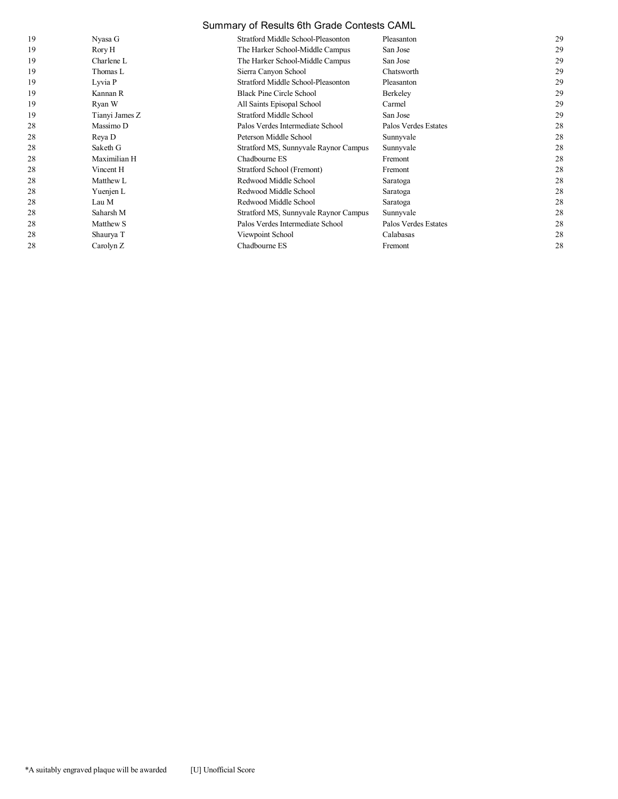### Summary of Results 6th Grade Contests CAML

| 19 | Nyasa G        | Stratford Middle School-Pleasonton    | Pleasanton           | 29 |
|----|----------------|---------------------------------------|----------------------|----|
| 19 | Rory H         | The Harker School-Middle Campus       | San Jose             | 29 |
| 19 | Charlene $L$   | The Harker School-Middle Campus       | San Jose             | 29 |
| 19 | Thomas L       | Sierra Canyon School                  | Chatsworth           | 29 |
| 19 | Lyvia P        | Stratford Middle School-Pleasonton    | Pleasanton           | 29 |
| 19 | Kannan R       | Black Pine Circle School              | Berkeley             | 29 |
| 19 | Ryan W         | All Saints Episopal School            | Carmel               | 29 |
| 19 | Tianyi James Z | Stratford Middle School               | San Jose             | 29 |
| 28 | Massimo D      | Palos Verdes Intermediate School      | Palos Verdes Estates | 28 |
| 28 | Reya D         | Peterson Middle School                | Sunnyvale            | 28 |
| 28 | Saketh G       | Stratford MS, Sunnyvale Raynor Campus | Sunnyvale            | 28 |
| 28 | Maximilian H   | Chadbourne ES                         | Fremont              | 28 |
| 28 | Vincent H      | Stratford School (Fremont)            | Fremont              | 28 |
| 28 | Matthew L      | Redwood Middle School                 | Saratoga             | 28 |
| 28 | Yuenjen L      | Redwood Middle School                 | Saratoga             | 28 |
| 28 | Lau M          | Redwood Middle School                 | Saratoga             | 28 |
| 28 | Saharsh M      | Stratford MS, Sunnyvale Raynor Campus | Sunnyvale            | 28 |
| 28 | Matthew S      | Palos Verdes Intermediate School      | Palos Verdes Estates | 28 |
| 28 | Shaurya T      | Viewpoint School                      | Calabasas            | 28 |
| 28 | Carolyn Z      | Chadbourne ES                         | Fremont              | 28 |
|    |                |                                       |                      |    |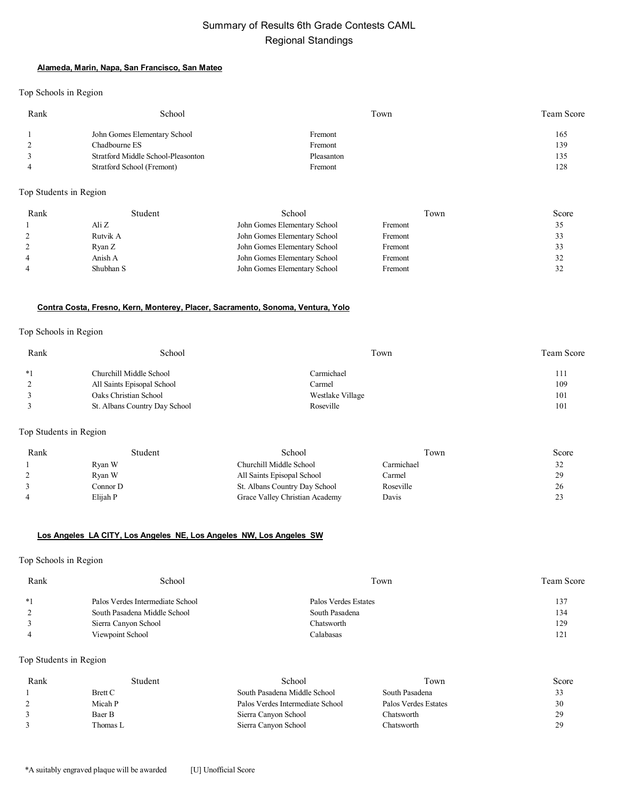# Summary of Results 6th Grade Contests CAML Regional Standings

#### **Alameda, Marin, Napa, San Francisco, San Mateo**

Top Schools in Region

| Rank | School                             | Town       | Team Score |
|------|------------------------------------|------------|------------|
|      | John Gomes Elementary School       | Fremont    | 165        |
|      | Chadbourne ES                      | Fremont    | 139        |
|      | Stratford Middle School-Pleasonton | Pleasanton | 135        |
|      | Stratford School (Fremont)         | Fremont    | 128        |

Top Students in Region

| Rank | Student   | School                       | Town    | Score |
|------|-----------|------------------------------|---------|-------|
|      | Ali Z     | John Gomes Elementary School | Fremont |       |
|      | Rutvik A  | John Gomes Elementary School | Fremont |       |
|      | Ryan Z    | John Gomes Elementary School | Fremont |       |
|      | Anish A   | John Gomes Elementary School | Fremont |       |
|      | Shubhan S | John Gomes Elementary School | Fremont |       |

### **Contra Costa, Fresno, Kern, Monterey, Placer, Sacramento, Sonoma, Ventura, Yolo**

#### Top Schools in Region

| Rank | School                        | Town             | Team Score |
|------|-------------------------------|------------------|------------|
| $*1$ | Churchill Middle School       | Carmichael       | 111        |
|      | All Saints Episopal School    | Carmel           | 109        |
|      | Oaks Christian School         | Westlake Village | 101        |
|      | St. Albans Country Day School | Roseville        | 101        |

### Top Students in Region

| Rank | Student  | School                         | Town       | Score                 |
|------|----------|--------------------------------|------------|-----------------------|
|      | Ryan W   | Churchill Middle School        | Carmichael | 32                    |
|      | Rvan W   | All Saints Episopal School     | Carmel     | 29                    |
|      | Connor D | St. Albans Country Day School  | Roseville  | 26                    |
| 4    | Elijah P | Grace Valley Christian Academy | Davis      | 2 <sup>1</sup><br>ت ک |

#### **Los Angeles LA CITY, Los Angeles NE, Los Angeles NW, Los Angeles SW**

Top Schools in Region

| Rank | School                           | Town                 | <b>Team Score</b> |
|------|----------------------------------|----------------------|-------------------|
| $*1$ | Palos Verdes Intermediate School | Palos Verdes Estates | 137               |
|      | South Pasadena Middle School     | South Pasadena       | 134               |
|      | Sierra Canyon School             | Chatsworth           | 129               |
|      | Viewpoint School                 | Calabasas            | 121               |

| Rank | Student        | School                           | Town                 | Score |
|------|----------------|----------------------------------|----------------------|-------|
|      | <b>Brett C</b> | South Pasadena Middle School     | South Pasadena       | 33    |
|      | Micah P        | Palos Verdes Intermediate School | Palos Verdes Estates | 30    |
|      | Baer B         | Sierra Canyon School             | Chatsworth           | 29    |
|      | Thomas L       | Sierra Canyon School             | Chatsworth           | 29    |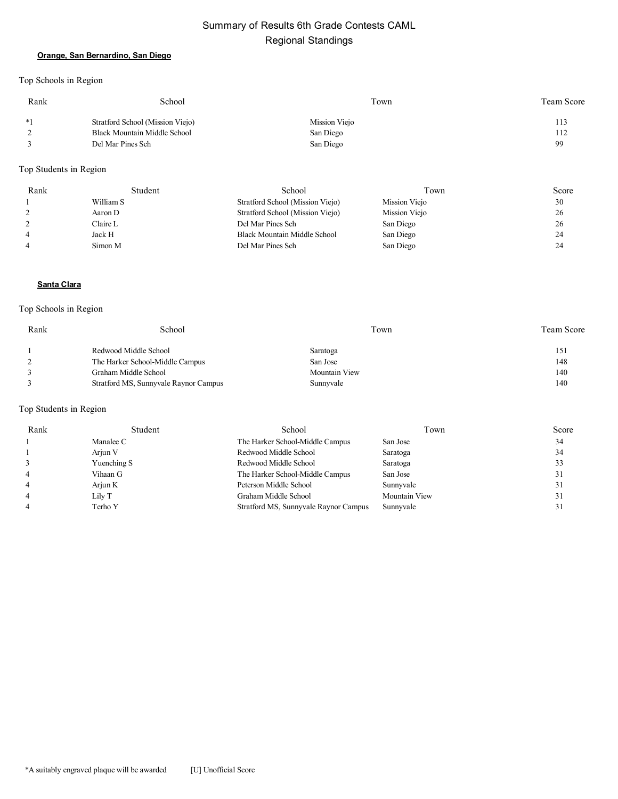# Summary of Results 6th Grade Contests CAML Regional Standings

### **Orange, San Bernardino, San Diego**

Top Schools in Region

| Rank | School                           | Town          | <b>Team Score</b> |
|------|----------------------------------|---------------|-------------------|
| $*1$ | Stratford School (Mission Viejo) | Mission Viejo | 113               |
| ∸    | Black Mountain Middle School     | San Diego     | 112               |
|      | Del Mar Pines Sch                | San Diego     | 99                |

### Top Students in Region

| Rank | Student   | School                           | Town          | Score |
|------|-----------|----------------------------------|---------------|-------|
|      | William S | Stratford School (Mission Viejo) | Mission Viejo | 30    |
|      | Aaron D   | Stratford School (Mission Viejo) | Mission Viejo | 26    |
|      | Claire L  | Del Mar Pines Sch                | San Diego     | 26    |
| 4    | Jack H    | Black Mountain Middle School     | San Diego     | 24    |
| 4    | Simon M   | Del Mar Pines Sch                | San Diego     | 24    |

#### **Santa Clara**

### Top Schools in Region

| Rank | School                                | Town          | <b>Team Score</b> |
|------|---------------------------------------|---------------|-------------------|
|      | Redwood Middle School                 | Saratoga      | 151               |
|      | The Harker School-Middle Campus       | San Jose      | 148               |
|      | Graham Middle School                  | Mountain View | 140               |
|      | Stratford MS, Sunnyvale Raynor Campus | Sunnyvale     | 140               |

| Rank           | Student     | School                                | Town          | Score |
|----------------|-------------|---------------------------------------|---------------|-------|
|                | Manalee C   | The Harker School-Middle Campus       | San Jose      | 34    |
|                | Arjun V     | Redwood Middle School                 | Saratoga      | 34    |
|                | Yuenching S | Redwood Middle School                 | Saratoga      |       |
| 4              | Vihaan G    | The Harker School-Middle Campus       | San Jose      |       |
| $\overline{4}$ | Arjun K     | Peterson Middle School                | Sunnyvale     |       |
|                | Lily T      | Graham Middle School                  | Mountain View |       |
|                | Terho Y     | Stratford MS, Sunnyvale Raynor Campus | Sunnyvale     |       |
|                |             |                                       |               |       |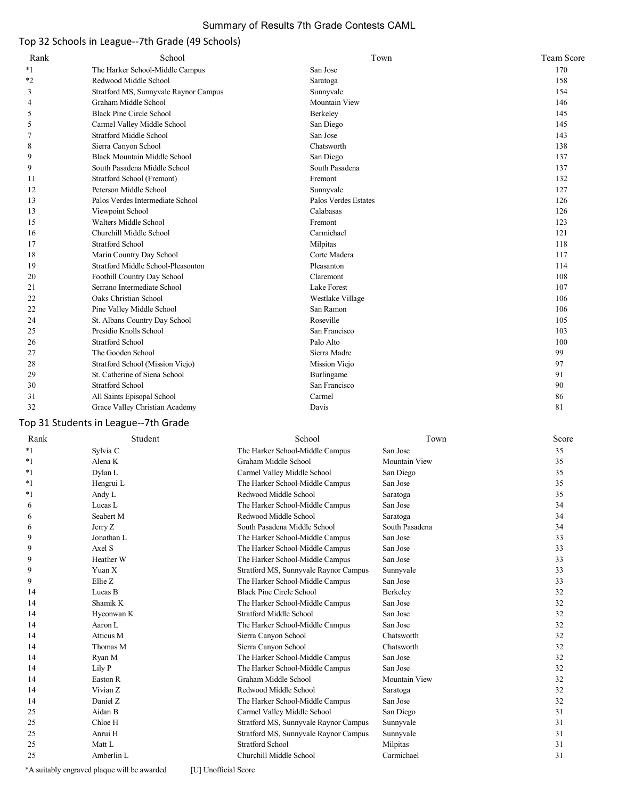# Summary of Results 7th Grade Contests CAML

# Top 32 Schools in League--7th Grade (49 Schools)

| Rank | School                                | Town                 | Team Score |
|------|---------------------------------------|----------------------|------------|
| $*1$ | The Harker School-Middle Campus       | San Jose             | 170        |
| $*2$ | Redwood Middle School                 | Saratoga             | 158        |
| 3    | Stratford MS, Sunnyvale Raynor Campus | Sunnyvale            | 154        |
| 4    | Graham Middle School                  | Mountain View        | 146        |
| 5    | <b>Black Pine Circle School</b>       | Berkeley             | 145        |
| 5    | Carmel Valley Middle School           | San Diego            | 145        |
| 7    | <b>Stratford Middle School</b>        | San Jose             | 143        |
| 8    | Sierra Canyon School                  | Chatsworth           | 138        |
| 9    | <b>Black Mountain Middle School</b>   | San Diego            | 137        |
| 9    | South Pasadena Middle School          | South Pasadena       | 137        |
| 11   | Stratford School (Fremont)            | Fremont              | 132        |
| 12   | Peterson Middle School                | Sunnyvale            | 127        |
| 13   | Palos Verdes Intermediate School      | Palos Verdes Estates | 126        |
| 13   | Viewpoint School                      | Calabasas            | 126        |
| 15   | Walters Middle School                 | Fremont              | 123        |
| 16   | Churchill Middle School               | Carmichael           | 121        |
| 17   | <b>Stratford School</b>               | Milpitas             | 118        |
| 18   | Marin Country Day School              | Corte Madera         | 117        |
| 19   | Stratford Middle School-Pleasonton    | Pleasanton           | 114        |
| 20   | Foothill Country Day School           | Claremont            | 108        |
| 21   | Serrano Intermediate School           | Lake Forest          | 107        |
| 22   | Oaks Christian School                 | Westlake Village     | 106        |
| 22   | Pine Valley Middle School             | San Ramon            | 106        |
| 24   | St. Albans Country Day School         | Roseville            | 105        |
| 25   | Presidio Knolls School                | San Francisco        | 103        |
| 26   | <b>Stratford School</b>               | Palo Alto            | 100        |
| 27   | The Gooden School                     | Sierra Madre         | 99         |
| 28   | Stratford School (Mission Viejo)      | Mission Viejo        | 97         |
| 29   | St. Catherine of Siena School         | Burlingame           | 91         |
| 30   | <b>Stratford School</b>               | San Francisco        | 90         |
| 31   | All Saints Episopal School            | Carmel               | 86         |
| 32   | Grace Valley Christian Academy        | Davis                | 81         |

# Top 31 Students in League--7th Grade

| Rank | Student    | School                                | Town                 | Score |
|------|------------|---------------------------------------|----------------------|-------|
| *1   | Sylvia C   | The Harker School-Middle Campus       | San Jose             | 35    |
| *1   | Alena K    | Graham Middle School                  | Mountain View        | 35    |
| *1   | Dylan L    | Carmel Valley Middle School           | San Diego            | 35    |
| *1   | Hengrui L  | The Harker School-Middle Campus       | San Jose             | 35    |
| *1   | Andy L     | Redwood Middle School                 | Saratoga             | 35    |
| 6    | Lucas L    | The Harker School-Middle Campus       | San Jose             | 34    |
| 6    | Seabert M  | Redwood Middle School                 | Saratoga             | 34    |
| 6    | Jerry Z    | South Pasadena Middle School          | South Pasadena       | 34    |
| 9    | Jonathan L | The Harker School-Middle Campus       | San Jose             | 33    |
| 9    | Axel S     | The Harker School-Middle Campus       | San Jose             | 33    |
| 9    | Heather W  | The Harker School-Middle Campus       | San Jose             | 33    |
| 9    | Yuan X     | Stratford MS, Sunnyvale Raynor Campus | Sunnyvale            | 33    |
| 9    | Ellie Z    | The Harker School-Middle Campus       | San Jose             | 33    |
| 14   | Lucas B    | <b>Black Pine Circle School</b>       | Berkeley             | 32    |
| 14   | Shamik K   | The Harker School-Middle Campus       | San Jose             | 32    |
| 14   | Hyeonwan K | <b>Stratford Middle School</b>        | San Jose             | 32    |
| 14   | Aaron L    | The Harker School-Middle Campus       | San Jose             | 32    |
| 14   | Atticus M  | Sierra Canyon School                  | Chatsworth           | 32    |
| 14   | Thomas M   | Sierra Canyon School                  | Chatsworth           | 32    |
| 14   | Ryan M     | The Harker School-Middle Campus       | San Jose             | 32    |
| 14   | Lily P     | The Harker School-Middle Campus       | San Jose             | 32    |
| 14   | Easton R   | Graham Middle School                  | <b>Mountain View</b> | 32    |
| 14   | Vivian Z   | Redwood Middle School                 | Saratoga             | 32    |
| 14   | Daniel Z   | The Harker School-Middle Campus       | San Jose             | 32    |
| 25   | Aidan B    | Carmel Valley Middle School           | San Diego            | 31    |
| 25   | Chloe H    | Stratford MS, Sunnyvale Raynor Campus | Sunnyvale            | 31    |
| 25   | Anrui H    | Stratford MS, Sunnyvale Raynor Campus | Sunnyvale            | 31    |
| 25   | Matt L     | <b>Stratford School</b>               | Milpitas             | 31    |
| 25   | Amberlin L | Churchill Middle School               | Carmichael           | 31    |
|      |            |                                       |                      |       |

\*A suitably engraved plaque will be awarded [U] Unofficial Score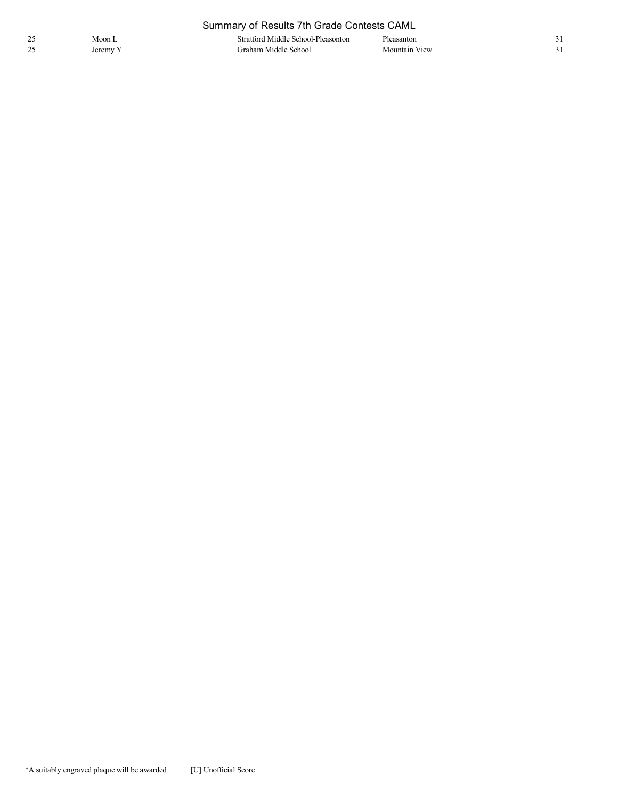| Summary of Results 7th Grade Contests CAML |          |                                    |               |  |
|--------------------------------------------|----------|------------------------------------|---------------|--|
| 25                                         | Moon L   | Stratford Middle School-Pleasonton | Pleasanton    |  |
| 25                                         | Jeremy Y | Graham Middle School               | Mountain View |  |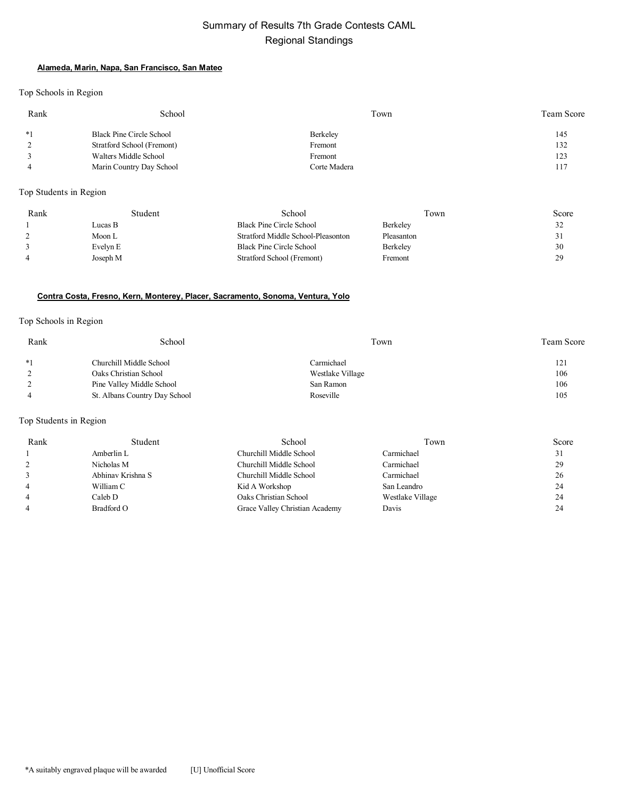# Summary of Results 7th Grade Contests CAML Regional Standings

### **Alameda, Marin, Napa, San Francisco, San Mateo**

Top Schools in Region

| Rank | School                     | Town         | Team Score |
|------|----------------------------|--------------|------------|
| $*1$ | Black Pine Circle School   | Berkeley     | 145        |
|      | Stratford School (Fremont) | Fremont      | 132        |
|      | Walters Middle School      | Fremont      | 123        |
|      | Marin Country Day School   | Corte Madera | 117        |

Top Students in Region

| Rank | Student  | School                             | Town       | Score |
|------|----------|------------------------------------|------------|-------|
|      | Lucas B  | Black Pine Circle School           | Berkeley   | 32    |
|      | Moon L   | Stratford Middle School-Pleasonton | Pleasanton | Ĵ۱.   |
|      | Evelyn E | Black Pine Circle School           | Berkeley   | 30    |
| 4    | Joseph M | Stratford School (Fremont)         | Fremont    | 29    |
|      |          |                                    |            |       |

### **Contra Costa, Fresno, Kern, Monterey, Placer, Sacramento, Sonoma, Ventura, Yolo**

#### Top Schools in Region

| Rank | School                        | Town             | Team Score |
|------|-------------------------------|------------------|------------|
| $*1$ | Churchill Middle School       | Carmichael       | 121        |
|      | Oaks Christian School         | Westlake Village | 106        |
|      | Pine Valley Middle School     | San Ramon        | 106        |
|      | St. Albans Country Day School | Roseville        | 105        |

| Rank           | Student           | School                         | Town             | Score |
|----------------|-------------------|--------------------------------|------------------|-------|
|                | Amberlin L        | Churchill Middle School        | Carmichael       | 31    |
|                | Nicholas M        | Churchill Middle School        | Carmichael       | 29    |
|                | Abhinav Krishna S | Churchill Middle School        | Carmichael       | 26    |
| $\overline{4}$ | William C         | Kid A Workshop                 | San Leandro      | 24    |
| $\overline{4}$ | Caleb D           | Oaks Christian School          | Westlake Village | 24    |
| $\overline{4}$ | Bradford O        | Grace Valley Christian Academy | Davis            | 24    |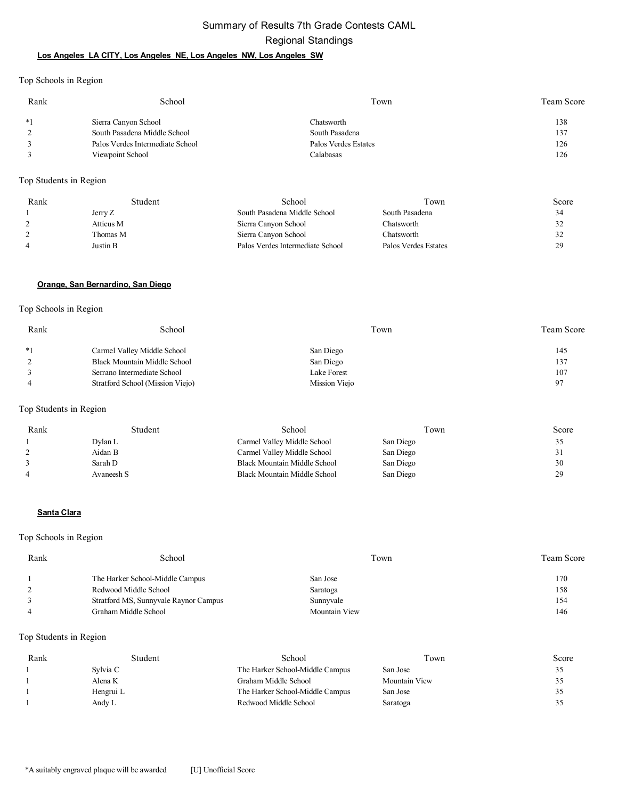# Summary of Results 7th Grade Contests CAML Regional Standings

### **Los Angeles LA CITY, Los Angeles NE, Los Angeles NW, Los Angeles SW**

Top Schools in Region

| Rank | School                           | Town                 | <b>Team Score</b> |
|------|----------------------------------|----------------------|-------------------|
| $*1$ | Sierra Canyon School             | Chatsworth           | 138               |
|      | South Pasadena Middle School     | South Pasadena       | 137               |
|      | Palos Verdes Intermediate School | Palos Verdes Estates | 126               |
|      | Viewpoint School                 | Calabasas            | 126               |

Top Students in Region

| Rank | Student   | School                           | Town                 | Score |
|------|-----------|----------------------------------|----------------------|-------|
|      | Jerry Z   | South Pasadena Middle School     | South Pasadena       | 34    |
|      | Atticus M | Sierra Canyon School             | Chatsworth           | 32    |
|      | Thomas M  | Sierra Canyon School             | Chatsworth           | 32    |
|      | Justin B  | Palos Verdes Intermediate School | Palos Verdes Estates | 29    |

#### **Orange, San Bernardino, San Diego**

Top Schools in Region

| Rank | School                           | Town          | <b>Team Score</b> |
|------|----------------------------------|---------------|-------------------|
| $*1$ | Carmel Valley Middle School      | San Diego     | 145               |
|      | Black Mountain Middle School     | San Diego     | 137               |
|      | Serrano Intermediate School      | Lake Forest   | 107               |
|      | Stratford School (Mission Viejo) | Mission Viejo | 97                |

Top Students in Region

| Rank | Student    | School                       | Town      | Score |
|------|------------|------------------------------|-----------|-------|
|      | Dylan L    | Carmel Valley Middle School  | San Diego | 35    |
|      | Aidan B    | Carmel Valley Middle School  | San Diego | ، ب   |
|      | Sarah D    | Black Mountain Middle School | San Diego | 30    |
| 4    | Avaneesh S | Black Mountain Middle School | San Diego | 29    |

#### **Santa Clara**

Top Schools in Region

| Rank | School                                | Town          | Team Score |
|------|---------------------------------------|---------------|------------|
|      | The Harker School-Middle Campus       | San Jose      | 170        |
|      | Redwood Middle School                 | Saratoga      | 158        |
|      | Stratford MS, Sunnyvale Raynor Campus | Sunnyvale     | 154        |
|      | Graham Middle School                  | Mountain View | 146        |

| Rank | Student   | School                          | Town          | Score |
|------|-----------|---------------------------------|---------------|-------|
|      | Svlvia C  | The Harker School-Middle Campus | San Jose      | ۔ ب   |
|      | Alena K   | Graham Middle School            | Mountain View | 32    |
|      | Hengrui L | The Harker School-Middle Campus | San Jose      | 32    |
|      | Andy L    | Redwood Middle School           | Saratoga      | 32    |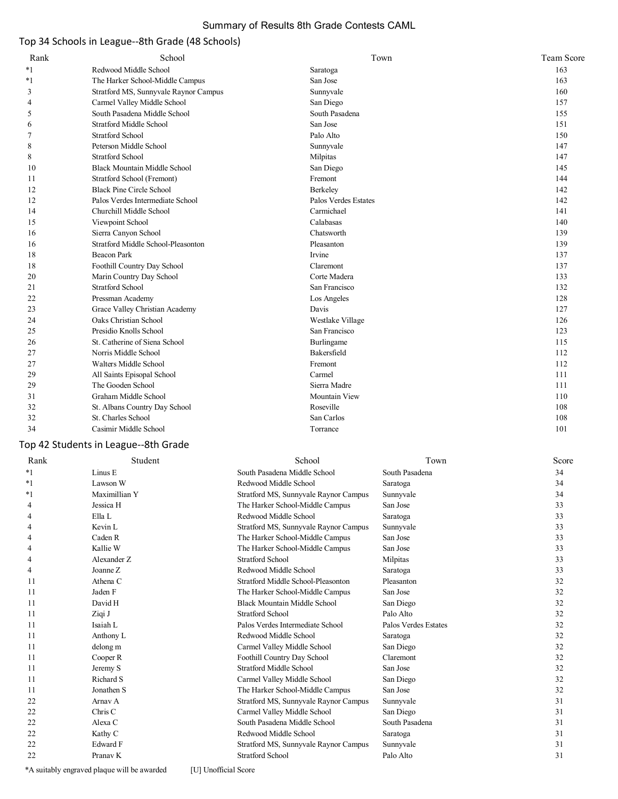### Summary of Results 8th Grade Contests CAML

# Top 34 Schools in League--8th Grade (48 Schools)

| Rank | School                                | Town                 | <b>Team Score</b> |
|------|---------------------------------------|----------------------|-------------------|
| $*1$ | Redwood Middle School                 | Saratoga             | 163               |
| $*1$ | The Harker School-Middle Campus       | San Jose             | 163               |
| 3    | Stratford MS, Sunnyvale Raynor Campus | Sunnyvale            | 160               |
| 4    | Carmel Valley Middle School           | San Diego            | 157               |
| 5    | South Pasadena Middle School          | South Pasadena       | 155               |
| 6    | <b>Stratford Middle School</b>        | San Jose             | 151               |
| 7    | <b>Stratford School</b>               | Palo Alto            | 150               |
| 8    | Peterson Middle School                | Sunnyvale            | 147               |
| 8    | <b>Stratford School</b>               | Milpitas             | 147               |
| 10   | <b>Black Mountain Middle School</b>   | San Diego            | 145               |
| 11   | Stratford School (Fremont)            | Fremont              | 144               |
| 12   | <b>Black Pine Circle School</b>       | Berkeley             | 142               |
| 12   | Palos Verdes Intermediate School      | Palos Verdes Estates | 142               |
| 14   | Churchill Middle School               | Carmichael           | 141               |
| 15   | Viewpoint School                      | Calabasas            | 140               |
| 16   | Sierra Canyon School                  | Chatsworth           | 139               |
| 16   | Stratford Middle School-Pleasonton    | Pleasanton           | 139               |
| 18   | <b>Beacon Park</b>                    | Irvine               | 137               |
| 18   | Foothill Country Day School           | Claremont            | 137               |
| 20   | Marin Country Day School              | Corte Madera         | 133               |
| 21   | <b>Stratford School</b>               | San Francisco        | 132               |
| 22   | Pressman Academy                      | Los Angeles          | 128               |
| 23   | Grace Valley Christian Academy        | Davis                | 127               |
| 24   | Oaks Christian School                 | Westlake Village     | 126               |
| 25   | Presidio Knolls School                | San Francisco        | 123               |
| 26   | St. Catherine of Siena School         | Burlingame           | 115               |
| 27   | Norris Middle School                  | Bakersfield          | 112               |
| 27   | Walters Middle School                 | Fremont              | 112               |
| 29   | All Saints Episopal School            | Carmel               | 111               |
| 29   | The Gooden School                     | Sierra Madre         | 111               |
| 31   | Graham Middle School                  | Mountain View        | 110               |
| 32   | St. Albans Country Day School         | Roseville            | 108               |
| 32   | St. Charles School                    | San Carlos           | 108               |
| 34   | Casimir Middle School                 | Torrance             | 101               |
|      |                                       |                      |                   |

### Top 42 Students in League--8th Grade

| Rank    | Student             | School                                | Town                 | Score |
|---------|---------------------|---------------------------------------|----------------------|-------|
| $*_{1}$ | Linus E             | South Pasadena Middle School          | South Pasadena       | 34    |
| $*1$    | Lawson W            | Redwood Middle School                 | Saratoga             | 34    |
| *1      | Maximillian Y       | Stratford MS, Sunnyvale Raynor Campus | Sunnyvale            | 34    |
| 4       | Jessica H           | The Harker School-Middle Campus       | San Jose             | 33    |
| 4       | Ella L              | Redwood Middle School                 | Saratoga             | 33    |
| 4       | Kevin L             | Stratford MS, Sunnyvale Raynor Campus | Sunnyvale            | 33    |
| 4       | Caden R             | The Harker School-Middle Campus       | San Jose             | 33    |
| 4       | Kallie W            | The Harker School-Middle Campus       | San Jose             | 33    |
| 4       | Alexander Z         | <b>Stratford School</b>               | Milpitas             | 33    |
| 4       | Joanne Z            | Redwood Middle School                 | Saratoga             | 33    |
| 11      | Athena C            | Stratford Middle School-Pleasonton    | Pleasanton           | 32    |
| 11      | Jaden F             | The Harker School-Middle Campus       | San Jose             | 32    |
| 11      | David H             | <b>Black Mountain Middle School</b>   | San Diego            | 32    |
| 11      | Ziqi J              | Stratford School                      | Palo Alto            | 32    |
| 11      | Isaiah L            | Palos Verdes Intermediate School      | Palos Verdes Estates | 32    |
| 11      | Anthony L           | Redwood Middle School                 | Saratoga             | 32    |
| 11      | delong m            | Carmel Valley Middle School           | San Diego            | 32    |
| 11      | Cooper R            | Foothill Country Day School           | Claremont            | 32    |
| 11      | Jeremy S            | <b>Stratford Middle School</b>        | San Jose             | 32    |
| 11      | Richard S           | Carmel Valley Middle School           | San Diego            | 32    |
| 11      | Jonathen S          | The Harker School-Middle Campus       | San Jose             | 32    |
| 22      | Arnav A             | Stratford MS, Sunnyvale Raynor Campus | Sunnyvale            | 31    |
| 22      | Chris C             | Carmel Valley Middle School           | San Diego            | 31    |
| 22      | Alexa C             | South Pasadena Middle School          | South Pasadena       | 31    |
| 22      | Kathy C             | Redwood Middle School                 | Saratoga             | 31    |
| 22      | Edward F            | Stratford MS, Sunnyvale Raynor Campus | Sunnyvale            | 31    |
| 22      | Pranav <sub>K</sub> | Stratford School                      | Palo Alto            | 31    |
|         |                     |                                       |                      |       |

\*A suitably engraved plaque will be awarded [U] Unofficial Score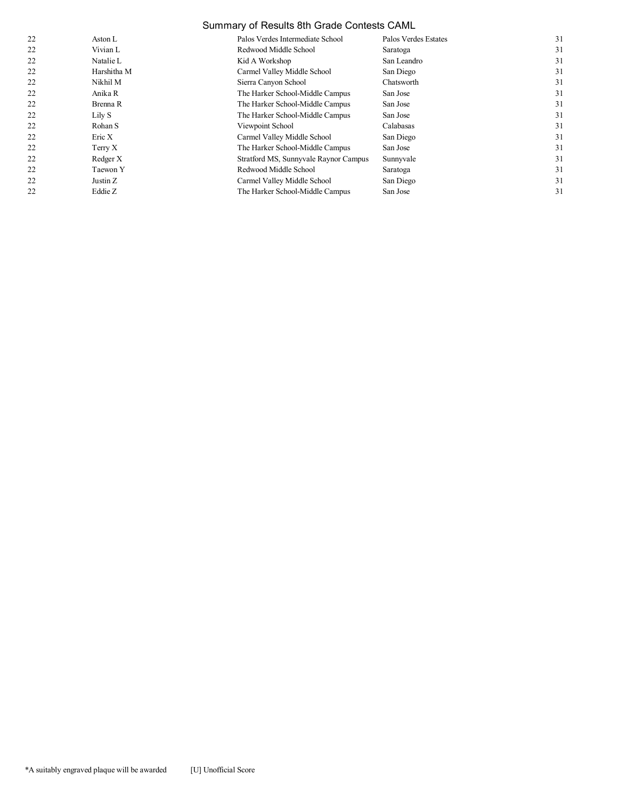# Summary of Results 8th Grade Contests CAML

| 22 | Aston L     | Palos Verdes Intermediate School      | Palos Verdes Estates | 31 |
|----|-------------|---------------------------------------|----------------------|----|
| 22 | Vivian L    | Redwood Middle School                 | Saratoga             | 31 |
| 22 | Natalie L   | Kid A Workshop                        | San Leandro          | 31 |
| 22 | Harshitha M | Carmel Valley Middle School           | San Diego            | 31 |
| 22 | Nikhil M    | Sierra Canyon School                  | Chatsworth           | 31 |
| 22 | Anika R     | The Harker School-Middle Campus       | San Jose             | 31 |
| 22 | Brenna R    | The Harker School-Middle Campus       | San Jose             | 31 |
| 22 | Lily S      | The Harker School-Middle Campus       | San Jose             | 31 |
| 22 | Rohan S     | Viewpoint School                      | Calabasas            | 31 |
| 22 | Eric X      | Carmel Valley Middle School           | San Diego            | 31 |
| 22 | Terry X     | The Harker School-Middle Campus       | San Jose             | 31 |
| 22 | Redger X    | Stratford MS, Sunnyvale Raynor Campus | Sunnyvale            | 31 |
| 22 | Taewon Y    | Redwood Middle School                 | Saratoga             | 31 |
| 22 | Justin Z    | Carmel Valley Middle School           | San Diego            | 31 |
| 22 | Eddie Z     | The Harker School-Middle Campus       | San Jose             | 31 |
|    |             |                                       |                      |    |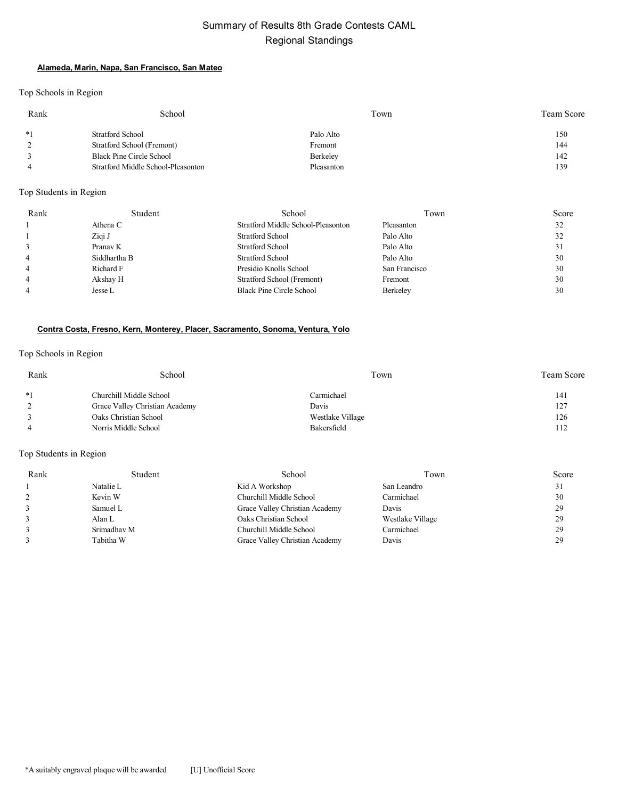# Summary of Results 8th Grade Contests CAML Regional Standings

### **Alameda, Marin, Napa, San Francisco, San Mateo**

Top Schools in Region

| Rank | School                             | Town       | Team Score |
|------|------------------------------------|------------|------------|
| $*1$ | Stratford School                   | Palo Alto  | 150        |
|      | Stratford School (Fremont)         | Fremont    | 144        |
|      | Black Pine Circle School           | Berkeley   | 142        |
|      | Stratford Middle School-Pleasonton | Pleasanton | 139        |

### Top Students in Region

| Rank           | Student      | School                             | Town          | Score |
|----------------|--------------|------------------------------------|---------------|-------|
|                | Athena C     | Stratford Middle School-Pleasonton | Pleasanton    | 32    |
|                | Ziqi J       | <b>Stratford School</b>            | Palo Alto     | 32    |
| 3              | Pranav K     | <b>Stratford School</b>            | Palo Alto     | 31    |
| $\overline{4}$ | Siddhartha B | Stratford School                   | Palo Alto     | 30    |
| $\overline{4}$ | Richard F    | Presidio Knolls School             | San Francisco | 30    |
| $\overline{4}$ | Akshay H     | Stratford School (Fremont)         | Fremont       | 30    |
|                | Jesse L      | <b>Black Pine Circle School</b>    | Berkeley      | 30    |

### **Contra Costa, Fresno, Kern, Monterey, Placer, Sacramento, Sonoma, Ventura, Yolo**

Top Schools in Region

| Rank | School                         | Town             | <b>Team Score</b> |
|------|--------------------------------|------------------|-------------------|
| $*1$ | Churchill Middle School        | Carmichael       | 141               |
|      | Grace Valley Christian Academy | Davis            | 127               |
|      | Oaks Christian School          | Westlake Village | 126               |
|      | Norris Middle School           | Bakersfield      | 112               |

| Rank | Student     | School                         | Town             | Score |
|------|-------------|--------------------------------|------------------|-------|
|      | Natalie L   | Kid A Workshop                 | San Leandro      | 31    |
|      | Kevin W     | Churchill Middle School        | Carmichael       | 30    |
|      | Samuel L    | Grace Valley Christian Academy | Davis            | 29    |
|      | Alan L      | Oaks Christian School          | Westlake Village | 29    |
|      | Srimadhav M | Churchill Middle School        | Carmichael       | 29    |
|      | Tabitha W   | Grace Valley Christian Academy | Davis            | 29    |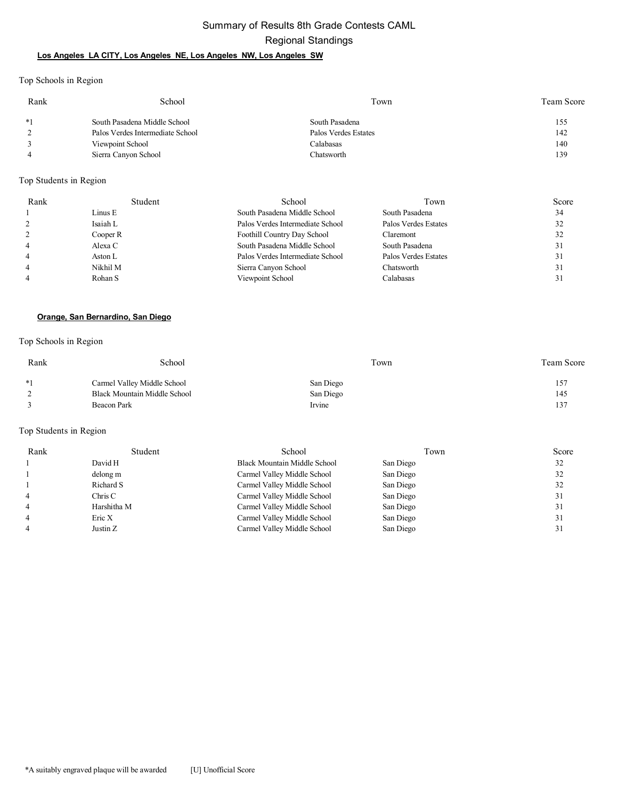# Summary of Results 8th Grade Contests CAML Regional Standings

### **Los Angeles LA CITY, Los Angeles NE, Los Angeles NW, Los Angeles SW**

Top Schools in Region

| Rank | School                           | Town                 | Team Score |
|------|----------------------------------|----------------------|------------|
| $*1$ | South Pasadena Middle School     | South Pasadena       | 155        |
|      | Palos Verdes Intermediate School | Palos Verdes Estates | 142        |
|      | Viewpoint School                 | Calabasas            | 140        |
| 4    | Sierra Canyon School             | Chatsworth           | 139        |

Top Students in Region

| Rank           | Student  | School                           | Town                 | Score |
|----------------|----------|----------------------------------|----------------------|-------|
|                | Linus E  | South Pasadena Middle School     | South Pasadena       | 34    |
|                | Isaiah L | Palos Verdes Intermediate School | Palos Verdes Estates | 32    |
|                | Cooper R | Foothill Country Day School      | Claremont            | 32    |
| $\overline{4}$ | Alexa C  | South Pasadena Middle School     | South Pasadena       | 31    |
| $\overline{4}$ | Aston L  | Palos Verdes Intermediate School | Palos Verdes Estates | 31    |
| $\overline{4}$ | Nikhil M | Sierra Canyon School             | Chatsworth           | 31    |
| $\overline{4}$ | Rohan S  | Viewpoint School                 | Calabasas            |       |

### **Orange, San Bernardino, San Diego**

### Top Schools in Region

| Rank | School                       | Town      | Team Score |
|------|------------------------------|-----------|------------|
| $*1$ | Carmel Valley Middle School  | San Diego | 157        |
|      | Black Mountain Middle School | San Diego | 145        |
|      | Beacon Park                  | Irvine    | 137        |
|      |                              |           |            |

| Rank | Student     | School                              | Town      | Score |
|------|-------------|-------------------------------------|-----------|-------|
|      | David H     | <b>Black Mountain Middle School</b> | San Diego | 32    |
|      | delong m    | Carmel Valley Middle School         | San Diego | 32    |
|      | Richard S   | Carmel Valley Middle School         | San Diego | 32    |
|      | Chris C     | Carmel Valley Middle School         | San Diego | 31    |
|      | Harshitha M | Carmel Valley Middle School         | San Diego | 31    |
|      | Eric X      | Carmel Valley Middle School         | San Diego | 31    |
|      | Justin Z    | Carmel Valley Middle School         | San Diego | 31    |